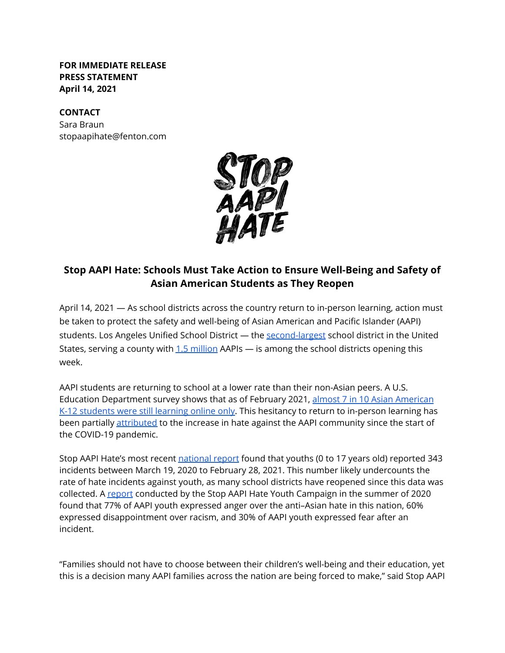**FOR IMMEDIATE RELEASE PRESS STATEMENT April 14, 2021**

## **CONTACT**

Sara Braun stopaapihate@fenton.com



# **Stop AAPI Hate: Schools Must Take Action to Ensure Well-Being and Safety of Asian American Students as They Reopen**

April 14, 2021 — As school districts across the country return to in-person learning, action must be taken to protect the safety and well-being of Asian American and Pacific Islander (AAPI) students. Los Angeles Unified School District - the [second-largest](https://achieve.lausd.net/domain/32#:~:text=Second%20largest%20in%20the%20nation,School%20District%20Board%20of%20Education.) school district in the United States, serving a county with  $1.5$  million AAPIs  $-$  is among the school districts opening this week.

AAPI students are returning to school at a lower rate than their non-Asian peers. A U.S. Education Department survey shows that as of February 2021, [almost 7 in 10 Asian American](https://www.npr.org/2021/04/09/984789341/why-so-many-asian-americans-are-learning-remotely) [K-12 students were still learning online only.](https://www.npr.org/2021/04/09/984789341/why-so-many-asian-americans-are-learning-remotely) This hesitancy to return to in-person learning has been partially [attributed](https://www.capradio.org/articles/2021/04/09/as-students-return-to-classrooms-one-group-is-noticeably-still-learning-at-home-asian-americans/) to the increase in hate against the AAPI community since the start of the COVID-19 pandemic.

Stop AAPI Hate's most recent [national report](https://stopaapihate.org/2020-2021-national-report/) found that youths (0 to 17 years old) reported 343 incidents between March 19, 2020 to February 28, 2021. This number likely undercounts the rate of hate incidents against youth, as many school districts have reopened since this data was collected. A [report](https://stopaapihate.org/youth-campaign-report/) conducted by the Stop AAPI Hate Youth Campaign in the summer of 2020 found that 77% of AAPI youth expressed anger over the anti–Asian hate in this nation, 60% expressed disappointment over racism, and 30% of AAPI youth expressed fear after an incident.

"Families should not have to choose between their children's well-being and their education, yet this is a decision many AAPI families across the nation are being forced to make," said Stop AAPI